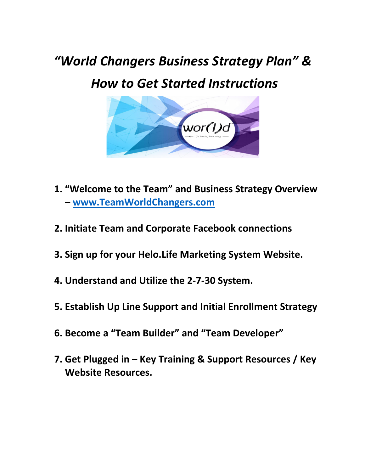# *"World Changers Business Strategy Plan" &*

## *How to Get Started Instructions*



- 1. "Welcome to the Team" and Business Strategy Overview **– www.TeamWorldChangers.com**
- **2. Initiate Team and Corporate Facebook connections**
- **3. Sign up for your Helo.Life Marketing System Website.**
- **4. Understand and Utilize the 2-7-30 System.**
- **5. Establish Up Line Support and Initial Enrollment Strategy**
- **6. Become a "Team Builder" and "Team Developer"**
- **7.** Get Plugged in Key Training & Support Resources / Key **Website Resources.**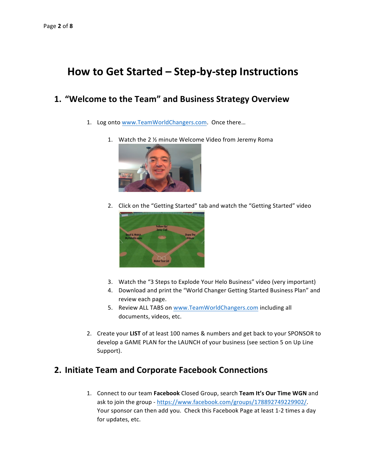## **How to Get Started – Step-by-step Instructions**

## **1. "Welcome to the Team" and Business Strategy Overview**

- 1. Log onto www.TeamWorldChangers.com. Once there...
	- 1. Watch the 2 % minute Welcome Video from Jeremy Roma



2. Click on the "Getting Started" tab and watch the "Getting Started" video



- 3. Watch the "3 Steps to Explode Your Helo Business" video (very important)
- 4. Download and print the "World Changer Getting Started Business Plan" and review each page.
- 5. Review ALL TABS on www.TeamWorldChangers.com including all documents, videos, etc.
- 2. Create your LIST of at least 100 names & numbers and get back to your SPONSOR to develop a GAME PLAN for the LAUNCH of your business (see section 5 on Up Line Support).

#### **2. Initiate Team and Corporate Facebook Connections**

1. Connect to our team Facebook Closed Group, search Team It's Our Time WGN and ask to join the group - https://www.facebook.com/groups/178892749229902/. Your sponsor can then add you. Check this Facebook Page at least 1-2 times a day for updates, etc.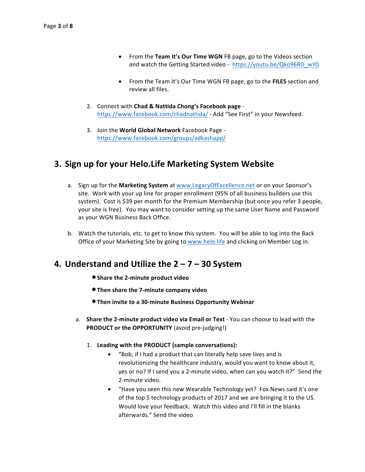- From the Team It's Our Time WGN FB page, go to the Videos section and watch the Getting Started video - https://youtu.be/Qko96RD\_wY0
- From the Team It's Our Time WGN FB page, go to the FILES section and review all files.
- 2. Connect with Chad & Nattida Chong's Facebook page https://www.facebook.com/chadnattida/ - Add "See First" in your Newsfeed.
- 3. Join the **World Global Network** Facebook Page https://www.facebook.com/groups/adkashapp/

### **3. Sign up for your Helo.Life Marketing System Website**

- a. Sign up for the **Marketing System** at www.LegacyOfExcellence.net or on your Sponsor's site. Work with your up line for proper enrollment (95% of all business builders use this system). Cost is \$39 per month for the Premium Membership (but once you refer 3 people, your site is free). You may want to consider setting up the same User Name and Password as your WGN Business Back Office.
- b. Watch the tutorials, etc. to get to know this system. You will be able to log into the Back Office of your Marketing Site by going to www.helo.life and clicking on Member Log in.

#### **4. Understand and Utilize the 2 – 7 – 30 System**

- **Share the 2-minute product video**
- **Then share the 7-minute company video**
- **Then invite to a 30-minute Business Opportunity Webinar**
- a. **Share the 2-minute product video via Email or Text** You can choose to lead with the **PRODUCT or the OPPORTUNITY** (avoid pre-judging!)
	- 1. Leading with the PRODUCT (sample conversations):
		- "Bob, if I had a product that can literally help save lives and is revolutionizing the healthcare industry, would you want to know about it, yes or no? If I send you a 2-minute video, when can you watch it?" Send the 2-minute video.
		- "Have you seen this new Wearable Technology yet? Fox News said it's one of the top 5 technology products of 2017 and we are bringing it to the US. Would love your feedback. Watch this video and I'll fill in the blanks afterwards." Send the video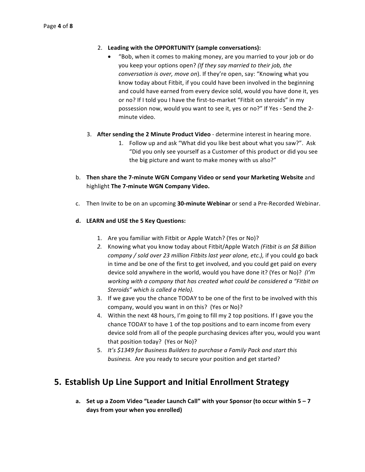- 2. Leading with the OPPORTUNITY (sample conversations):
	- "Bob, when it comes to making money, are you married to your job or do you keep your options open? (If they say married to their job, the *conversation is over, move on*). If they're open, say: "Knowing what you know today about Fitbit, if you could have been involved in the beginning and could have earned from every device sold, would you have done it, yes or no? If I told you I have the first-to-market "Fitbit on steroids" in my possession now, would you want to see it, yes or no?" If Yes - Send the 2minute video.
- 3. After sending the 2 Minute Product Video determine interest in hearing more.
	- 1. Follow up and ask "What did you like best about what you saw?". Ask "Did you only see yourself as a Customer of this product or did you see the big picture and want to make money with us also?"
- b. **Then share the 7-minute WGN Company Video or send your Marketing Website** and highlight **The 7-minute WGN Company Video.**
- c. Then Invite to be on an upcoming 30-minute Webinar or send a Pre-Recorded Webinar.
- d. LEARN and USE the 5 Key Questions:
	- 1. Are you familiar with Fitbit or Apple Watch? (Yes or No)?
	- 2. Knowing what you know today about Fitbit/Apple Watch (Fitbit is an \$8 Billion *company* / sold over 23 million Fitbits last year alone, etc.), if you could go back in time and be one of the first to get involved, and you could get paid on every device sold anywhere in the world, would you have done it? (Yes or No)? (I'm *working* with a company that has created what could be considered a "Fitbit on Steroids" which is called a Helo).
	- 3. If we gave you the chance TODAY to be one of the first to be involved with this company, would you want in on this? (Yes or No)?
	- 4. Within the next 48 hours, I'm going to fill my 2 top positions. If I gave you the chance TODAY to have 1 of the top positions and to earn income from every device sold from all of the people purchasing devices after you, would you want that position today? (Yes or No)?
	- 5. *It's* \$1349 for Business Builders to purchase a Family Pack and start this business. Are you ready to secure your position and get started?

## **5.** Establish Up Line Support and Initial Enrollment Strategy

**a.** Set up a Zoom Video "Leader Launch Call" with your Sponsor (to occur within 5 - 7 days from your when you enrolled)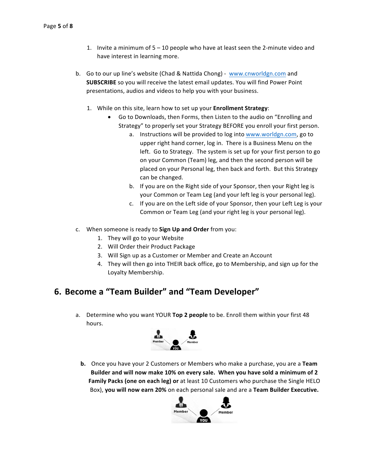- 1. Invite a minimum of  $5 10$  people who have at least seen the 2-minute video and have interest in learning more.
- b. Go to our up line's website (Chad & Nattida Chong) www.cnworldgn.com and **SUBSCRIBE** so you will receive the latest email updates. You will find Power Point presentations, audios and videos to help you with your business.
	- 1. While on this site, learn how to set up your **Enrollment Strategy**:
		- Go to Downloads, then Forms, then Listen to the audio on "Enrolling and Strategy" to properly set your Strategy BEFORE you enroll your first person.
			- a. Instructions will be provided to log into www.worldgn.com, go to upper right hand corner, log in. There is a Business Menu on the left. Go to Strategy. The system is set up for your first person to go on your Common (Team) leg, and then the second person will be placed on your Personal leg, then back and forth. But this Strategy can be changed.
			- b. If you are on the Right side of your Sponsor, then your Right leg is your Common or Team Leg (and your left leg is your personal leg).
			- c. If you are on the Left side of your Sponsor, then your Left Leg is your Common or Team Leg (and your right leg is your personal leg).
- c. When someone is ready to **Sign Up and Order** from you:
	- 1. They will go to your Website
	- 2. Will Order their Product Package
	- 3. Will Sign up as a Customer or Member and Create an Account
	- 4. They will then go into THEIR back office, go to Membership, and sign up for the Loyalty Membership.

## **6. Become a "Team Builder" and "Team Developer"**

a. Determine who you want YOUR Top 2 people to be. Enroll them within your first 48 hours.



**b.** Once you have your 2 Customers or Members who make a purchase, you are a Team Builder and will now make 10% on every sale. When you have sold a minimum of 2 **Family Packs (one on each leg) or** at least 10 Customers who purchase the Single HELO Box), you will now earn 20% on each personal sale and are a Team Builder Executive.

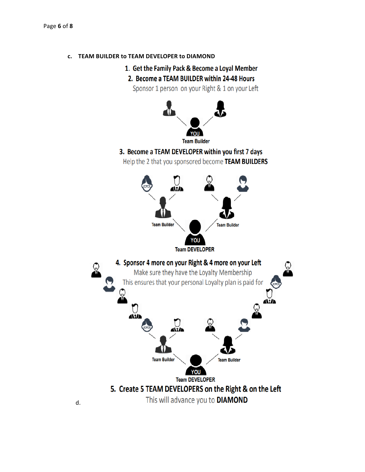

**Team Builder** 

#### **c. TEAM BUILDER to TEAM DEVELOPER to DIAMOND**

5. Create 5 TEAM DEVELOPERS on the Right & on the Left This will advance you to DIAMOND

YOU **Team DEVELOPER**  **Team Builder**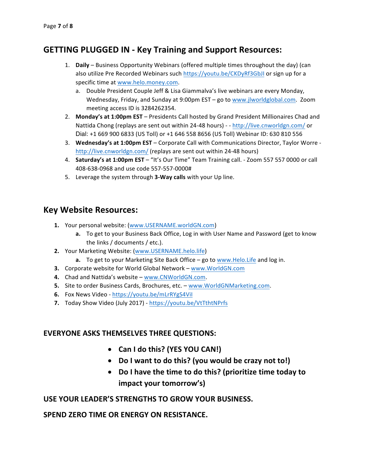## **GETTING PLUGGED IN - Key Training and Support Resources:**

- 1. **Daily** Business Opportunity Webinars (offered multiple times throughout the day) (can also utilize Pre Recorded Webinars such https://youtu.be/CKDyRf3GbJI or sign up for a specific time at www.helo.money.com.
	- a. Double President Couple Jeff & Lisa Giammalva's live webinars are every Monday, Wednesday, Friday, and Sunday at 9:00pm EST – go to www.jlworldglobal.com. Zoom meeting access ID is 3284262354.
- 2. **Monday's at 1:00pm EST** Presidents Call hosted by Grand President Millionaires Chad and Nattida Chong (replays are sent out within 24-48 hours) - - http://live.cnworldgn.com/ or Dial: +1 669 900 6833 (US Toll) or +1 646 558 8656 (US Toll) Webinar ID: 630 810 556
- 3. **Wednesday's at 1:00pm EST** Corporate Call with Communications Director, Taylor Worre http://live.cnworldgn.com/ (replays are sent out within 24-48 hours)
- 4. **Saturday's at 1:00pm EST** "It's Our Time" Team Training call. Zoom 557 557 0000 or call 408-638-0968 and use code 557-557-0000#
- 5. Leverage the system through 3-Way calls with your Up line.

### **Key Website Resources:**

- 1. Your personal website: (www.USERNAME.worldGN.com)
	- **a.** To get to your Business Back Office, Log in with User Name and Password (get to know the links / documents / etc.).
- **2.** Your Marketing Website: (www.USERNAME.helo.life)
	- **a.** To get to your Marketing Site Back Office go to www.Helo.Life and log in.
- **3.** Corporate website for World Global Network www.WorldGN.com
- 4. Chad and Nattida's website www.CNWorldGN.com.
- **5.** Site to order Business Cards, Brochures, etc. www.WorldGNMarketing.com.
- **6.** Fox News Video https://youtu.be/mLrRYgS4Vil
- **7.** Today Show Video (July 2017) https://youtu.be/VtTthtNPrfs

#### **EVERYONE ASKS THEMSELVES THREE QUESTIONS:**

- Can I do this? (YES YOU CAN!)
- Do I want to do this? (you would be crazy not to!)
- Do I have the time to do this? (prioritize time today to **impact your tomorrow's)**

#### USE YOUR LEADER'S STRENGTHS TO GROW YOUR BUSINESS.

**SPEND ZERO TIME OR ENERGY ON RESISTANCE.**